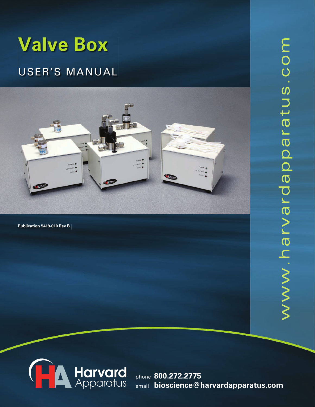# **Valve Box**

# User's ManUal



Publication 5419-010 Rev B



phone **800.272.2775** email **bioscience@harvardapparatus.com**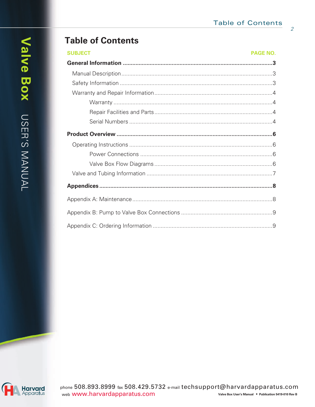$\overline{2}$ 

# **Table of Contents**

| <b>SUBJECT</b> | <b>PAGE NO.</b> |
|----------------|-----------------|
|                |                 |
|                |                 |
|                |                 |
|                |                 |
|                |                 |
|                |                 |
|                |                 |
|                |                 |
|                |                 |
|                |                 |
|                |                 |
|                |                 |
|                |                 |
|                |                 |
|                |                 |
|                |                 |

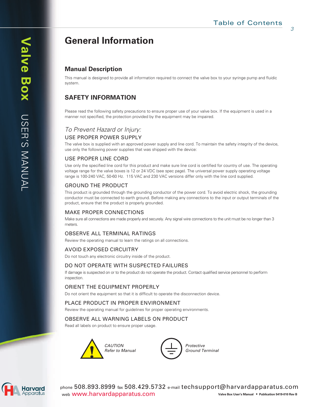# **General Information**

# **Manual Description**

This manual is designed to provide all information required to connect the valve box to your syringe pump and fluidic system.

# **SAFETY INFORMATION**

Please read the following safety precautions to ensure proper use of your valve box. If the equipment is used in a manner not specified, the protection provided by the equipment may be impaired.

## *To Prevent Hazard or Injury:* USE PROPER POWER SUPPLY

The valve box is supplied with an approved power supply and line cord. To maintain the safety integrity of the device, use only the following power supplies that was shipped with the device:

#### USE PROPER LINE CORD

Use only the specified line cord for this product and make sure line cord is certified for country of use. The operating voltage range for the valve boxes is 12 or 24 VDC (see spec page). The universal power supply operating voltage range is 100-240 VAC, 50-60 Hz. 115 VAC and 230 VAC versions differ only with the line cord supplied.

#### GROUND THE PRODUCT

This product is grounded through the grounding conductor of the power cord. To avoid electric shock, the grounding conductor must be connected to earth ground. Before making any connections to the input or output terminals of the product, ensure that the product is properly grounded.

#### MAKE PROPER CONNECTIONS

Make sure all connections are made properly and securely. Any signal wire connections to the unit must be no longer than 3 meters.

#### OBSERVE ALL TERMINAL RATINGS

Review the operating manual to learn the ratings on all connections.

#### AVOID EXPOSED CIRCUITRY

Do not touch any electronic circuitry inside of the product.

#### DO NOT OPERATE WITH SUSPECTED FAILURES

If damage is suspected on or to the product do not operate the product. Contact qualified service personnel to perform inspection.

#### ORIENT THE EQUIPMENT PROPERLY

Do not orient the equipment so that it is difficult to operate the disconnection device.

#### PLACE PRODUCT IN PROPER ENVIRONMENT

Review the operating manual for guidelines for proper operating environments.

#### OBSERVE ALL WARNING LABELS ON PRODUCT

Read all labels on product to ensure proper usage.



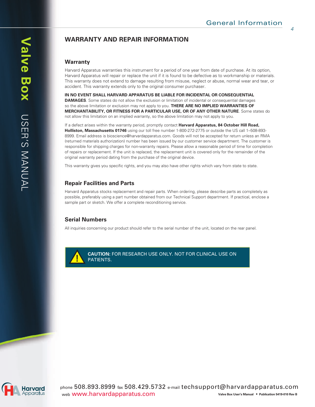# **WARRANTY AND REPAIR INFORMATION**

#### **Warranty**

Harvard Apparatus warranties this instrument for a period of one year from date of purchase. At its option, Harvard Apparatus will repair or replace the unit if it is found to be defective as to workmanship or materials. This warranty does not extend to damage resulting from misuse, neglect or abuse, normal wear and tear, or accident. This warranty extends only to the original consumer purchaser.

**IN NO EVENT SHALL HARVARD APPARATUS BE LIABLE FOR INCIDENTAL OR CONSEQUENTIAL DAMAGES**. Some states do not allow the exclusion or limitation of incidental or consequential damages so the above limitation or exclusion may not apply to you. **THERE ARE NO IMPLIED WARRANTIES OF MERCHANTABILITY, OR FITNESS FOR A PARTICULAR USE, OR OF ANY OTHER NATURE**. Some states do not allow this limitation on an implied warranty, so the above limitation may not apply to you.

If a defect arises within the warranty period, promptly contact **Harvard Apparatus, 84 October Hill Road, Holliston, Massachusetts 01746** using our toll free number 1-800-272-2775 or outside the US call 1–508-893- 8999. Email address is bioscience@harvardapparatus.com. Goods will not be accepted for return unless an RMA (returned materials authorization) number has been issued by our customer service department. The customer is responsible for shipping charges for non-warranty repairs. Please allow a reasonable period of time for completion of repairs or replacement. If the unit is replaced, the replacement unit is covered only for the remainder of the original warranty period dating from the purchase of the original device.

This warranty gives you specific rights, and you may also have other rights which vary from state to state.

#### **Repair Facilities and Parts**

Harvard Apparatus stocks replacement and repair parts. When ordering, please describe parts as completely as possible, preferably using a part number obtained from our Technical Support department. If practical, enclose a sample part or sketch. We offer a complete reconditioning service.

#### **Serial Numbers**

All inquiries concerning our product should refer to the serial number of the unit, located on the rear panel.



**! CAUTION:** FOR RESEARCH USE ONLY. NOT FOR CLINICAL USE ON PATIENTS.

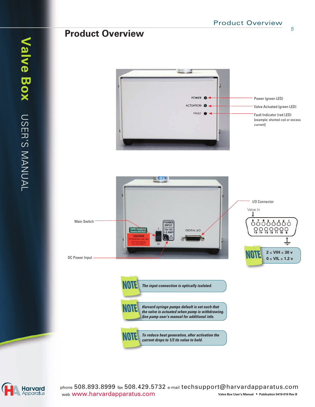Power (green LED)

*5*

# **Product Overview**

**Harvard** Apparatus

phone 508.893.8999 fax 508.429.5732 e-mail techsupport@harvardapparatus.com web www.harvardapparatus.com **Valve Box User's Manual • Publication 5419-010 Rev B**



POWER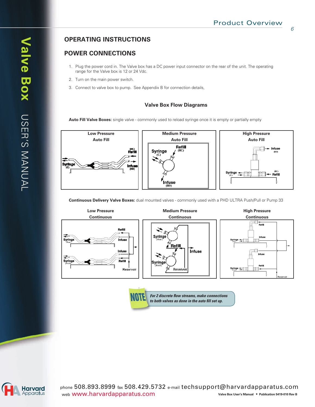# **OPERATING INSTRUCTIONS**

## **POWER CONNECTIONS**

- 1. Plug the power cord in. The Valve box has a DC power input connector on the rear of the unit. The operating range for the Valve box is 12 or 24 Vdc.
- 2. Turn on the main power switch.
- 3. Connect to valve box to pump. See Appendix B for connection details,

#### **Valve Box Flow Diagrams**

Auto Fill Valve Boxes: single valve - commonly used to reload syringe once it is empty or partially empty



**Continuous Delivery Valve Boxes:** dual mounted valves - commonly used with a PHD ULTRA Push/Pull or Pump 33



*For 2 discrete flow streams, make connections to both valves as done in the auto fi ll set up.*

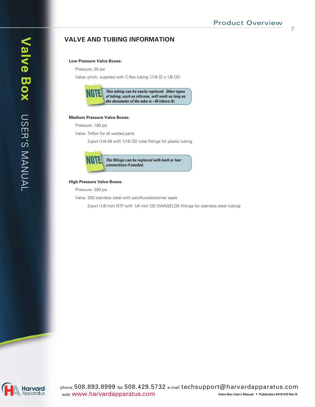### **VALVE AND TUBING INFORMATION**

#### **Low Pressure Valve Boxes:**

Pressure: 25 psi

Valve: pinch, supplied with C-flex tubing  $1/16$  ID  $\times$   $1/8$  OD



#### **Medium Pressure Valve Boxes:**

Pressure: 100 psi

Valve: Teflon for all wetted parts

3-port (1/4-28 with 1/16 OD tube fittings for plastic tubing



#### **High Pressure Valve Boxes:**

Pressure: 200 psi

Valve: 303 stainless steel with perofluroelestomer seals

3-port (1/8 inch NTP with 1/4 inch OD SWAGELOK fittings for stainless steel tubing)

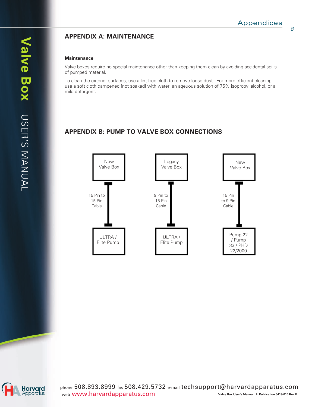# **APPENDIX A: MAINTENANCE**

#### **Maintenance**

Valve boxes require no special maintenance other than keeping them clean by avoiding accidental spills of pumped material.

To clean the exterior surfaces, use a lint-free cloth to remove loose dust. For more efficient cleaning, use a soft cloth dampened [not soaked] with water, an aqeuous solution of 75% isopropyl alcohol, or a mild detergent.

# **APPENDIX B: PUMP TO VALVE BOX CONNECTIONS**